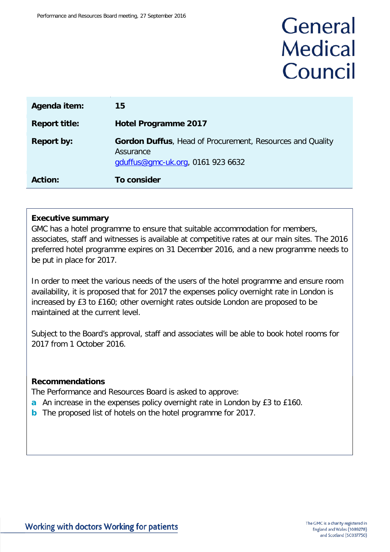# General **Medical** Council

| Agenda item:         | 15                                                                                                          |
|----------------------|-------------------------------------------------------------------------------------------------------------|
| <b>Report title:</b> | <b>Hotel Programme 2017</b>                                                                                 |
| <b>Report by:</b>    | Gordon Duffus, Head of Procurement, Resources and Quality<br>Assurance<br>gduffus@gmc-uk.org, 0161 923 6632 |
| <b>Action:</b>       | <b>To consider</b>                                                                                          |

## **Executive summary**

GMC has a hotel programme to ensure that suitable accommodation for members, associates, staff and witnesses is available at competitive rates at our main sites. The 2016 preferred hotel programme expires on 31 December 2016, and a new programme needs to be put in place for 2017.

In order to meet the various needs of the users of the hotel programme and ensure room availability, it is proposed that for 2017 the expenses policy overnight rate in London is increased by £3 to £160; other overnight rates outside London are proposed to be maintained at the current level.

Subject to the Board's approval, staff and associates will be able to book hotel rooms for 2017 from 1 October 2016.

## **Recommendations**

The Performance and Resources Board is asked to approve:

- **a** An increase in the expenses policy overnight rate in London by £3 to £160.
- **b** The proposed list of hotels on the hotel programme for 2017.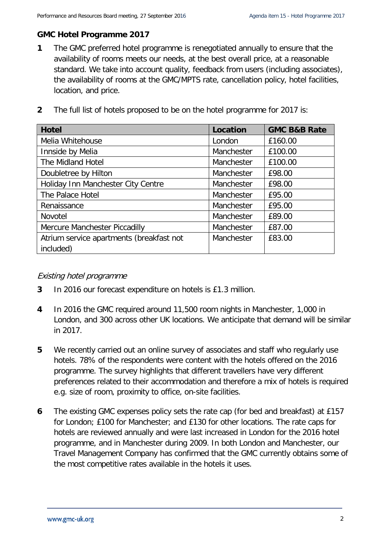## **GMC Hotel Programme 2017**

**1** The GMC preferred hotel programme is renegotiated annually to ensure that the availability of rooms meets our needs, at the best overall price, at a reasonable standard. We take into account quality, feedback from users (including associates), the availability of rooms at the GMC/MPTS rate, cancellation policy, hotel facilities, location, and price.

| The full list of hotels proposed to be on the hotel programme for 2017 is: |  |  |
|----------------------------------------------------------------------------|--|--|

| <b>Hotel</b>                             | Location   | <b>GMC B&amp;B Rate</b> |
|------------------------------------------|------------|-------------------------|
| Melia Whitehouse                         | London     | £160.00                 |
| Innside by Melia                         | Manchester | £100.00                 |
| The Midland Hotel                        | Manchester | £100.00                 |
| Doubletree by Hilton                     | Manchester | £98.00                  |
| Holiday Inn Manchester City Centre       | Manchester | £98.00                  |
| The Palace Hotel                         | Manchester | £95.00                  |
| Renaissance                              | Manchester | £95.00                  |
| Novotel                                  | Manchester | £89.00                  |
| Mercure Manchester Piccadilly            | Manchester | £87.00                  |
| Atrium service apartments (breakfast not | Manchester | £83.00                  |
| included)                                |            |                         |

## Existing hotel programme

- **3** In 2016 our forecast expenditure on hotels is £1.3 million.
- **4** In 2016 the GMC required around 11,500 room nights in Manchester, 1,000 in London, and 300 across other UK locations. We anticipate that demand will be similar in 2017.
- **5** We recently carried out an online survey of associates and staff who regularly use hotels. 78% of the respondents were content with the hotels offered on the 2016 programme. The survey highlights that different travellers have very different preferences related to their accommodation and therefore a mix of hotels is required e.g. size of room, proximity to office, on-site facilities.
- **6** The existing GMC expenses policy sets the rate cap (for bed and breakfast) at £157 for London; £100 for Manchester; and £130 for other locations. The rate caps for hotels are reviewed annually and were last increased in London for the 2016 hotel programme, and in Manchester during 2009. In both London and Manchester, our Travel Management Company has confirmed that the GMC currently obtains some of the most competitive rates available in the hotels it uses.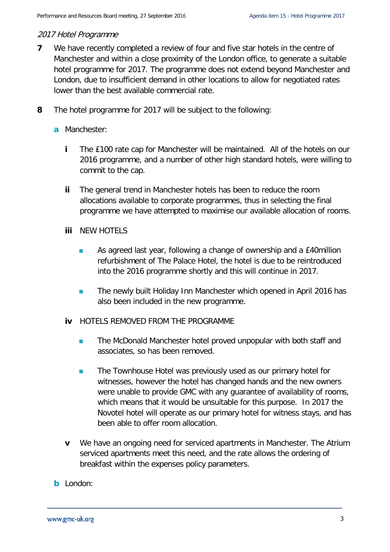## 2017 Hotel Programme

- **7** We have recently completed a review of four and five star hotels in the centre of Manchester and within a close proximity of the London office, to generate a suitable hotel programme for 2017. The programme does not extend beyond Manchester and London, due to insufficient demand in other locations to allow for negotiated rates lower than the best available commercial rate.
- **8** The hotel programme for 2017 will be subject to the following:
	- **a** Manchester:
		- **i** The £100 rate cap for Manchester will be maintained. All of the hotels on our 2016 programme, and a number of other high standard hotels, were willing to commit to the cap.
		- **ii** The general trend in Manchester hotels has been to reduce the room allocations available to corporate programmes, thus in selecting the final programme we have attempted to maximise our available allocation of rooms.
		- **iii** NEW HOTELS
			- **As agreed last year, following a change of ownership and a £40million** refurbishment of The Palace Hotel, the hotel is due to be reintroduced into the 2016 programme shortly and this will continue in 2017.
			- **The newly built Holiday Inn Manchester which opened in April 2016 has** also been included in the new programme.
		- **iv** HOTELS REMOVED FROM THE PROGRAMME
			- **The McDonald Manchester hotel proved unpopular with both staff and** associates, so has been removed.
			- **The Townhouse Hotel was previously used as our primary hotel for** witnesses, however the hotel has changed hands and the new owners were unable to provide GMC with any guarantee of availability of rooms, which means that it would be unsuitable for this purpose. In 2017 the Novotel hotel will operate as our primary hotel for witness stays, and has been able to offer room allocation.
		- **v** We have an ongoing need for serviced apartments in Manchester. The Atrium serviced apartments meet this need, and the rate allows the ordering of breakfast within the expenses policy parameters.
	- **b** London: